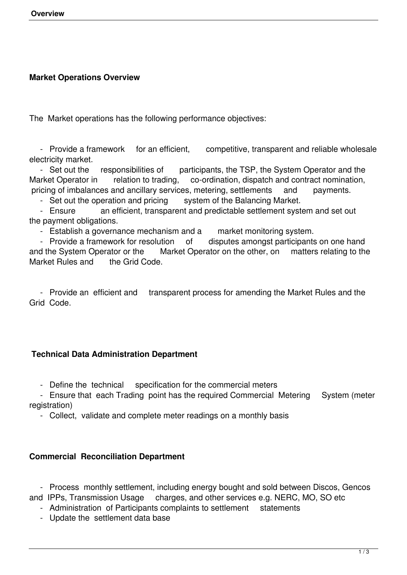# **Market Operations Overview**

The Market operations has the following performance objectives:

- Provide a framework for an efficient, competitive, transparent and reliable wholesale electricity market.

- Set out the responsibilities of participants, the TSP, the System Operator and the Market Operator in relation to trading, co-ordination, dispatch and contract nomination, pricing of imbalances and ancillary services, metering, settlements and payments.

- Set out the operation and pricing system of the Balancing Market.<br>- Ensure an efficient. transparent and predictable settlement syst

an efficient, transparent and predictable settlement system and set out the payment obligations.

- Establish a governance mechanism and a market monitoring system.

- Provide a framework for resolution of disputes amongst participants on one hand and the System Operator or the Market Operator on the other, on matters relating to the Market Rules and the Grid Code.

 - Provide an efficient and transparent process for amending the Market Rules and the Grid Code.

## **Technical Data Administration Department**

- Define the technical specification for the commercial meters

- Ensure that each Trading point has the required Commercial Metering System (meter registration)

- Collect, validate and complete meter readings on a monthly basis

## **Commercial Reconciliation Department**

 - Process monthly settlement, including energy bought and sold between Discos, Gencos and IPPs, Transmission Usage charges, and other services e.g. NERC, MO, SO etc

- Administration of Participants complaints to settlement statements
- Update the settlement data base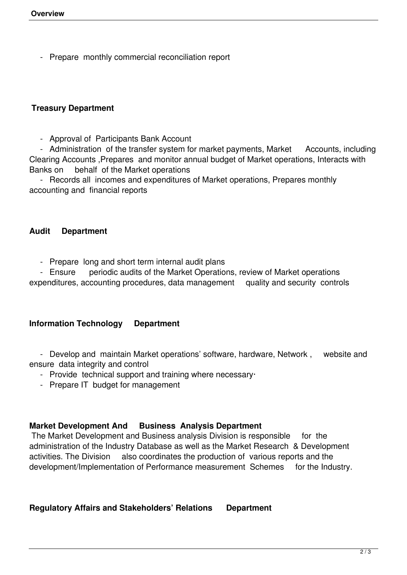- Prepare monthly commercial reconciliation report

# **Treasury Department**

- Approval of Participants Bank Account

- Administration of the transfer system for market payments, Market Accounts, including Clearing Accounts ,Prepares and monitor annual budget of Market operations, Interacts with Banks on behalf of the Market operations

 - Records all incomes and expenditures of Market operations, Prepares monthly accounting and financial reports

### **Audit Department**

- Prepare long and short term internal audit plans

- Ensure periodic audits of the Market Operations, review of Market operations

expenditures, accounting procedures, data management quality and security controls

## **Information Technology Department**

 - Develop and maintain Market operations' software, hardware, Network , website and ensure data integrity and control

- Provide technical support and training where necessary·
- Prepare IT budget for management

## **Market Development And Business Analysis Department**

 The Market Development and Business analysis Division is responsible for the administration of the Industry Database as well as the Market Research & Development activities. The Division also coordinates the production of various reports and the development/Implementation of Performance measurement Schemes for the Industry.

## **Regulatory Affairs and Stakeholders' Relations Department**